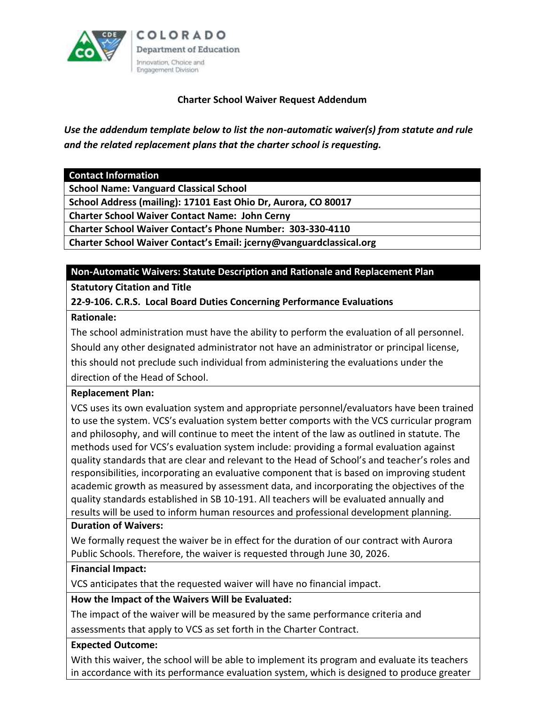

## **Charter School Waiver Request Addendum**

*Use the addendum template below to list the non-automatic waiver(s) from statute and rule and the related replacement plans that the charter school is requesting.*

**Contact Information**

**School Name: Vanguard Classical School**

**School Address (mailing): 17101 East Ohio Dr, Aurora, CO 80017**

**Charter School Waiver Contact Name: John Cerny**

**Charter School Waiver Contact's Phone Number: 303-330-4110**

**Charter School Waiver Contact's Email: jcerny@vanguardclassical.org**

#### **Non-Automatic Waivers: Statute Description and Rationale and Replacement Plan**

**Statutory Citation and Title** 

## **22-9-106. C.R.S. Local Board Duties Concerning Performance Evaluations**

#### **Rationale:**

The school administration must have the ability to perform the evaluation of all personnel. Should any other designated administrator not have an administrator or principal license, this should not preclude such individual from administering the evaluations under the direction of the Head of School.

## **Replacement Plan:**

VCS uses its own evaluation system and appropriate personnel/evaluators have been trained to use the system. VCS's evaluation system better comports with the VCS curricular program and philosophy, and will continue to meet the intent of the law as outlined in statute. The methods used for VCS's evaluation system include: providing a formal evaluation against quality standards that are clear and relevant to the Head of School's and teacher's roles and responsibilities, incorporating an evaluative component that is based on improving student academic growth as measured by assessment data, and incorporating the objectives of the quality standards established in SB 10-191. All teachers will be evaluated annually and results will be used to inform human resources and professional development planning.

## **Duration of Waivers:**

We formally request the waiver be in effect for the duration of our contract with Aurora Public Schools. Therefore, the waiver is requested through June 30, 2026.

## **Financial Impact:**

VCS anticipates that the requested waiver will have no financial impact.

## **How the Impact of the Waivers Will be Evaluated:**

The impact of the waiver will be measured by the same performance criteria and

assessments that apply to VCS as set forth in the Charter Contract.

## **Expected Outcome:**

With this waiver, the school will be able to implement its program and evaluate its teachers in accordance with its performance evaluation system, which is designed to produce greater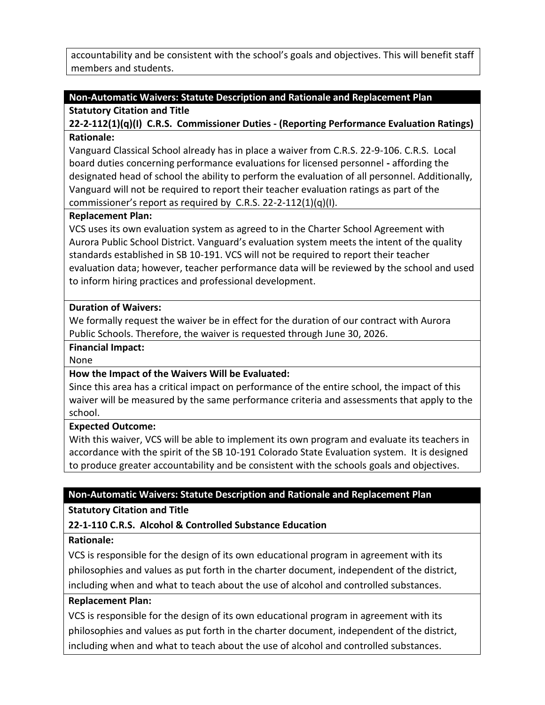accountability and be consistent with the school's goals and objectives. This will benefit staff members and students.

## **Non-Automatic Waivers: Statute Description and Rationale and Replacement Plan**

### **Statutory Citation and Title**

## **22-2-112(1)(q)(I) C.R.S. Commissioner Duties - (Reporting Performance Evaluation Ratings) Rationale:**

Vanguard Classical School already has in place a waiver from C.R.S. 22-9-106. C.R.S. Local board duties concerning performance evaluations for licensed personnel **-** affording the designated head of school the ability to perform the evaluation of all personnel. Additionally, Vanguard will not be required to report their teacher evaluation ratings as part of the commissioner's report as required by C.R.S. 22-2-112(1)(q)(I).

## **Replacement Plan:**

VCS uses its own evaluation system as agreed to in the Charter School Agreement with Aurora Public School District. Vanguard's evaluation system meets the intent of the quality standards established in SB 10-191. VCS will not be required to report their teacher evaluation data; however, teacher performance data will be reviewed by the school and used to inform hiring practices and professional development.

## **Duration of Waivers:**

We formally request the waiver be in effect for the duration of our contract with Aurora Public Schools. Therefore, the waiver is requested through June 30, 2026.

### **Financial Impact:**

None

## **How the Impact of the Waivers Will be Evaluated:**

Since this area has a critical impact on performance of the entire school, the impact of this waiver will be measured by the same performance criteria and assessments that apply to the school.

## **Expected Outcome:**

With this waiver, VCS will be able to implement its own program and evaluate its teachers in accordance with the spirit of the SB 10-191 Colorado State Evaluation system. It is designed to produce greater accountability and be consistent with the schools goals and objectives.

## **Non-Automatic Waivers: Statute Description and Rationale and Replacement Plan**

## **Statutory Citation and Title**

## **22-1-110 C.R.S. Alcohol & Controlled Substance Education**

## **Rationale:**

VCS is responsible for the design of its own educational program in agreement with its philosophies and values as put forth in the charter document, independent of the district, including when and what to teach about the use of alcohol and controlled substances.

## **Replacement Plan:**

VCS is responsible for the design of its own educational program in agreement with its philosophies and values as put forth in the charter document, independent of the district, including when and what to teach about the use of alcohol and controlled substances.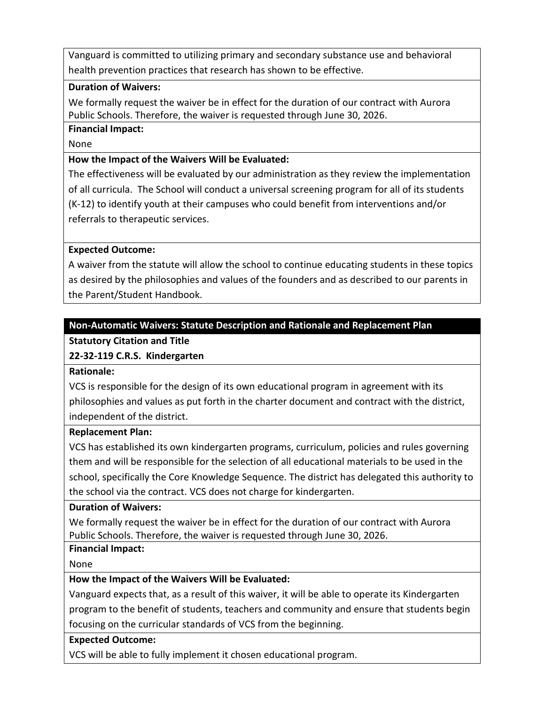Vanguard is committed to utilizing primary and secondary substance use and behavioral health prevention practices that research has shown to be effective.

### **Duration of Waivers:**

We formally request the waiver be in effect for the duration of our contract with Aurora Public Schools. Therefore, the waiver is requested through June 30, 2026.

#### **Financial Impact:**

None

### **How the Impact of the Waivers Will be Evaluated:**

The effectiveness will be evaluated by our administration as they review the implementation of all curricula. The School will conduct a universal screening program for all of its students (K-12) to identify youth at their campuses who could benefit from interventions and/or referrals to therapeutic services.

#### **Expected Outcome:**

A waiver from the statute will allow the school to continue educating students in these topics as desired by the philosophies and values of the founders and as described to our parents in the Parent/Student Handbook.

#### **Non-Automatic Waivers: Statute Description and Rationale and Replacement Plan**

## **Statutory Citation and Title**

## **22-32-119 C.R.S. Kindergarten**

**Rationale:**

VCS is responsible for the design of its own educational program in agreement with its philosophies and values as put forth in the charter document and contract with the district, independent of the district.

#### **Replacement Plan:**

VCS has established its own kindergarten programs, curriculum, policies and rules governing them and will be responsible for the selection of all educational materials to be used in the school, specifically the Core Knowledge Sequence. The district has delegated this authority to the school via the contract. VCS does not charge for kindergarten.

#### **Duration of Waivers:**

We formally request the waiver be in effect for the duration of our contract with Aurora Public Schools. Therefore, the waiver is requested through June 30, 2026.

## **Financial Impact:**

None

## **How the Impact of the Waivers Will be Evaluated:**

Vanguard expects that, as a result of this waiver, it will be able to operate its Kindergarten program to the benefit of students, teachers and community and ensure that students begin focusing on the curricular standards of VCS from the beginning.

## **Expected Outcome:**

VCS will be able to fully implement it chosen educational program.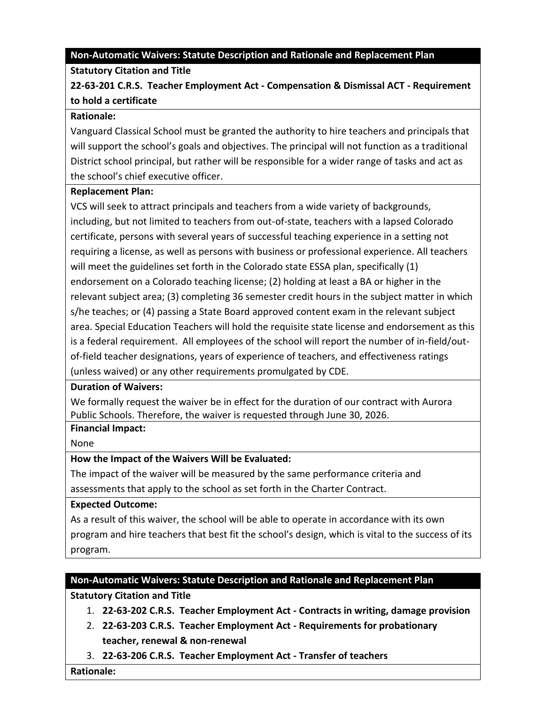### **Non-Automatic Waivers: Statute Description and Rationale and Replacement Plan**

## **Statutory Citation and Title**

# **22-63-201 C.R.S. Teacher Employment Act - Compensation & Dismissal ACT - Requirement to hold a certificate**

#### **Rationale:**

Vanguard Classical School must be granted the authority to hire teachers and principals that will support the school's goals and objectives. The principal will not function as a traditional District school principal, but rather will be responsible for a wider range of tasks and act as the school's chief executive officer.

#### **Replacement Plan:**

VCS will seek to attract principals and teachers from a wide variety of backgrounds, including, but not limited to teachers from out-of-state, teachers with a lapsed Colorado certificate, persons with several years of successful teaching experience in a setting not requiring a license, as well as persons with business or professional experience. All teachers will meet the guidelines set forth in the Colorado state ESSA plan, specifically (1) endorsement on a Colorado teaching license; (2) holding at least a BA or higher in the relevant subject area; (3) completing 36 semester credit hours in the subject matter in which s/he teaches; or (4) passing a State Board approved content exam in the relevant subject area. Special Education Teachers will hold the requisite state license and endorsement as this is a federal requirement. All employees of the school will report the number of in-field/outof-field teacher designations, years of experience of teachers, and effectiveness ratings (unless waived) or any other requirements promulgated by CDE.

#### **Duration of Waivers:**

We formally request the waiver be in effect for the duration of our contract with Aurora Public Schools. Therefore, the waiver is requested through June 30, 2026.

## **Financial Impact:**

None

## **How the Impact of the Waivers Will be Evaluated:**

The impact of the waiver will be measured by the same performance criteria and assessments that apply to the school as set forth in the Charter Contract.

## **Expected Outcome:**

As a result of this waiver, the school will be able to operate in accordance with its own program and hire teachers that best fit the school's design, which is vital to the success of its program.

## **Non-Automatic Waivers: Statute Description and Rationale and Replacement Plan**

## **Statutory Citation and Title**

- 1. **22-63-202 C.R.S. Teacher Employment Act - Contracts in writing, damage provision**
- 2. **22-63-203 C.R.S. Teacher Employment Act - Requirements for probationary teacher, renewal & non-renewal**
- 3. **22-63-206 C.R.S. Teacher Employment Act - Transfer of teachers**

**Rationale:**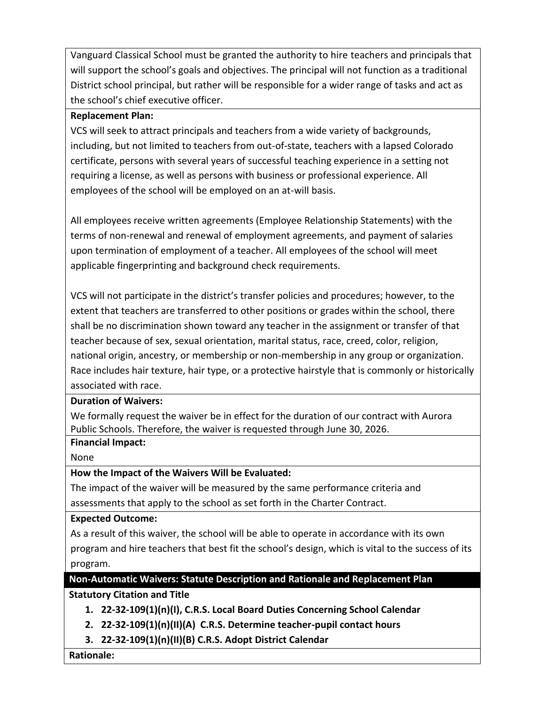Vanguard Classical School must be granted the authority to hire teachers and principals that will support the school's goals and objectives. The principal will not function as a traditional District school principal, but rather will be responsible for a wider range of tasks and act as the school's chief executive officer.

## **Replacement Plan:**

VCS will seek to attract principals and teachers from a wide variety of backgrounds, including, but not limited to teachers from out-of-state, teachers with a lapsed Colorado certificate, persons with several years of successful teaching experience in a setting not requiring a license, as well as persons with business or professional experience. All employees of the school will be employed on an at-will basis.

All employees receive written agreements (Employee Relationship Statements) with the terms of non-renewal and renewal of employment agreements, and payment of salaries upon termination of employment of a teacher. All employees of the school will meet applicable fingerprinting and background check requirements.

VCS will not participate in the district's transfer policies and procedures; however, to the extent that teachers are transferred to other positions or grades within the school, there shall be no discrimination shown toward any teacher in the assignment or transfer of that teacher because of sex, sexual orientation, marital status, race, creed, color, religion, national origin, ancestry, or membership or non-membership in any group or organization. Race includes hair texture, hair type, or a protective hairstyle that is commonly or historically associated with race.

## **Duration of Waivers:**

We formally request the waiver be in effect for the duration of our contract with Aurora Public Schools. Therefore, the waiver is requested through June 30, 2026.

## **Financial Impact:**

None

## **How the Impact of the Waivers Will be Evaluated:**

The impact of the waiver will be measured by the same performance criteria and assessments that apply to the school as set forth in the Charter Contract.

## **Expected Outcome:**

As a result of this waiver, the school will be able to operate in accordance with its own program and hire teachers that best fit the school's design, which is vital to the success of its program.

# **Non-Automatic Waivers: Statute Description and Rationale and Replacement Plan**

## **Statutory Citation and Title**

- **1. 22-32-109(1)(n)(I), C.R.S. Local Board Duties Concerning School Calendar**
- **2. 22-32-109(1)(n)(II)(A) C.R.S. Determine teacher-pupil contact hours**
- **3. 22-32-109(1)(n)(II)(B) C.R.S. Adopt District Calendar**

**Rationale:**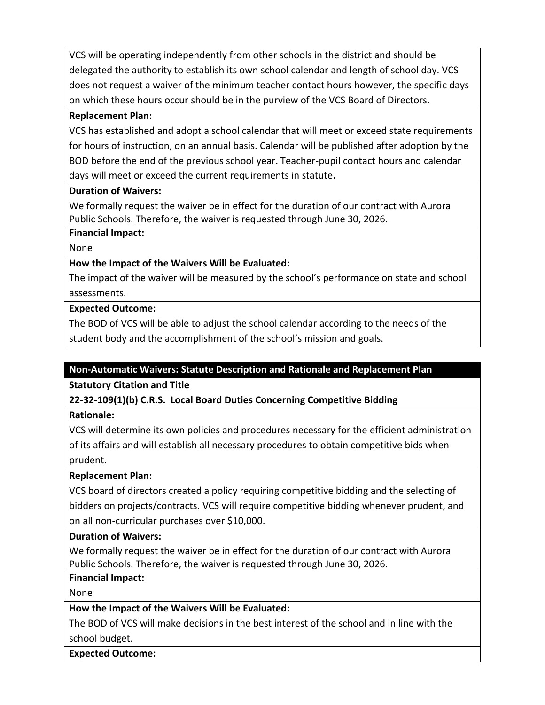VCS will be operating independently from other schools in the district and should be delegated the authority to establish its own school calendar and length of school day. VCS does not request a waiver of the minimum teacher contact hours however, the specific days on which these hours occur should be in the purview of the VCS Board of Directors.

### **Replacement Plan:**

VCS has established and adopt a school calendar that will meet or exceed state requirements for hours of instruction, on an annual basis. Calendar will be published after adoption by the BOD before the end of the previous school year. Teacher-pupil contact hours and calendar days will meet or exceed the current requirements in statute**.**

#### **Duration of Waivers:**

We formally request the waiver be in effect for the duration of our contract with Aurora Public Schools. Therefore, the waiver is requested through June 30, 2026.

#### **Financial Impact:**

None

## **How the Impact of the Waivers Will be Evaluated:**

The impact of the waiver will be measured by the school's performance on state and school assessments.

#### **Expected Outcome:**

The BOD of VCS will be able to adjust the school calendar according to the needs of the student body and the accomplishment of the school's mission and goals.

## **Non-Automatic Waivers: Statute Description and Rationale and Replacement Plan**

**Statutory Citation and Title** 

**22-32-109(1)(b) C.R.S. Local Board Duties Concerning Competitive Bidding**

**Rationale:**

VCS will determine its own policies and procedures necessary for the efficient administration of its affairs and will establish all necessary procedures to obtain competitive bids when prudent.

## **Replacement Plan:**

VCS board of directors created a policy requiring competitive bidding and the selecting of bidders on projects/contracts. VCS will require competitive bidding whenever prudent, and on all non-curricular purchases over \$10,000.

#### **Duration of Waivers:**

We formally request the waiver be in effect for the duration of our contract with Aurora Public Schools. Therefore, the waiver is requested through June 30, 2026.

## **Financial Impact:**

None

## **How the Impact of the Waivers Will be Evaluated:**

The BOD of VCS will make decisions in the best interest of the school and in line with the school budget.

**Expected Outcome:**